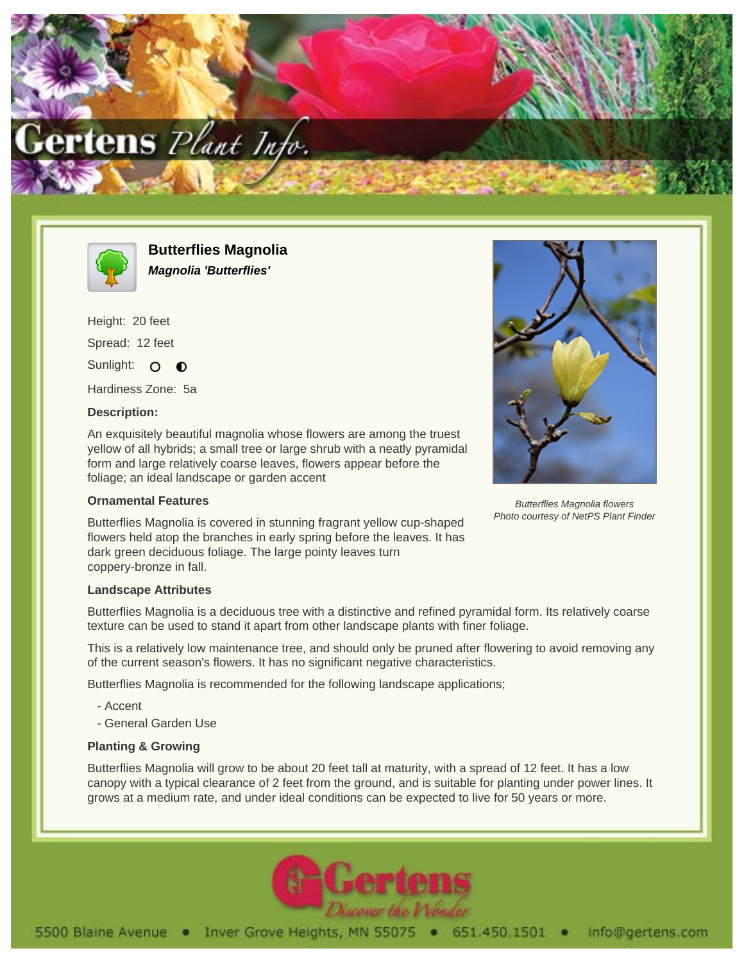



**Butterflies Magnolia Magnolia 'Butterflies'**

Height: 20 feet Spread: 12 feet Sunlight: O  $\bullet$ 

Hardiness Zone: 5a

## **Description:**

An exquisitely beautiful magnolia whose flowers are among the truest yellow of all hybrids; a small tree or large shrub with a neatly pyramidal form and large relatively coarse leaves, flowers appear before the foliage; an ideal landscape or garden accent

## **Ornamental Features**

Butterflies Magnolia is covered in stunning fragrant yellow cup-shaped flowers held atop the branches in early spring before the leaves. It has dark green deciduous foliage. The large pointy leaves turn coppery-bronze in fall.

## **Landscape Attributes**

Butterflies Magnolia is a deciduous tree with a distinctive and refined pyramidal form. Its relatively coarse texture can be used to stand it apart from other landscape plants with finer foliage.

This is a relatively low maintenance tree, and should only be pruned after flowering to avoid removing any of the current season's flowers. It has no significant negative characteristics.

Butterflies Magnolia is recommended for the following landscape applications;

- Accent

- General Garden Use

## **Planting & Growing**

Butterflies Magnolia will grow to be about 20 feet tall at maturity, with a spread of 12 feet. It has a low canopy with a typical clearance of 2 feet from the ground, and is suitable for planting under power lines. It grows at a medium rate, and under ideal conditions can be expected to live for 50 years or more.





Butterflies Magnolia flowers Photo courtesy of NetPS Plant Finder